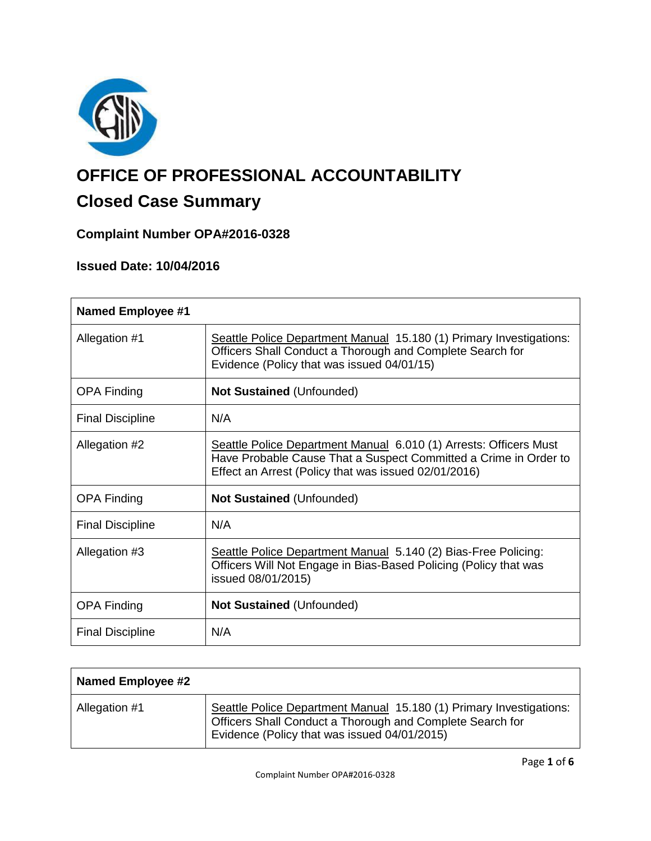

# **OFFICE OF PROFESSIONAL ACCOUNTABILITY**

# **Closed Case Summary**

### **Complaint Number OPA#2016-0328**

## **Issued Date: 10/04/2016**

| <b>Named Employee #1</b> |                                                                                                                                                                                               |
|--------------------------|-----------------------------------------------------------------------------------------------------------------------------------------------------------------------------------------------|
| Allegation #1            | Seattle Police Department Manual 15.180 (1) Primary Investigations:<br>Officers Shall Conduct a Thorough and Complete Search for<br>Evidence (Policy that was issued 04/01/15)                |
| <b>OPA Finding</b>       | <b>Not Sustained (Unfounded)</b>                                                                                                                                                              |
| <b>Final Discipline</b>  | N/A                                                                                                                                                                                           |
| Allegation #2            | Seattle Police Department Manual 6.010 (1) Arrests: Officers Must<br>Have Probable Cause That a Suspect Committed a Crime in Order to<br>Effect an Arrest (Policy that was issued 02/01/2016) |
| <b>OPA Finding</b>       | Not Sustained (Unfounded)                                                                                                                                                                     |
| <b>Final Discipline</b>  | N/A                                                                                                                                                                                           |
| Allegation #3            | Seattle Police Department Manual 5.140 (2) Bias-Free Policing:<br>Officers Will Not Engage in Bias-Based Policing (Policy that was<br>issued 08/01/2015)                                      |
| <b>OPA Finding</b>       | <b>Not Sustained (Unfounded)</b>                                                                                                                                                              |
| <b>Final Discipline</b>  | N/A                                                                                                                                                                                           |

| Named Employee #2 |                                                                                                                                                                                  |
|-------------------|----------------------------------------------------------------------------------------------------------------------------------------------------------------------------------|
| Allegation #1     | Seattle Police Department Manual 15.180 (1) Primary Investigations:<br>Officers Shall Conduct a Thorough and Complete Search for<br>Evidence (Policy that was issued 04/01/2015) |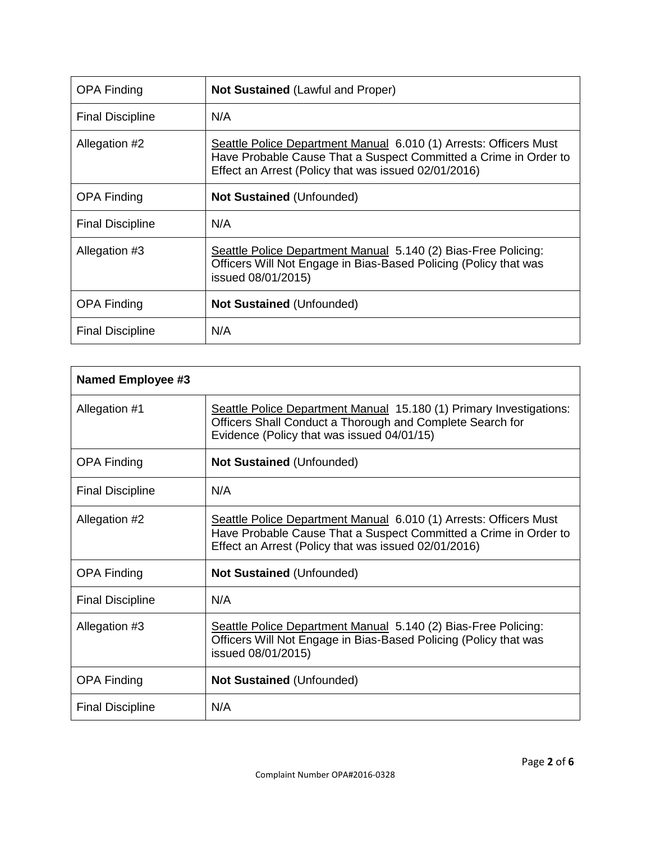| <b>OPA Finding</b>      | <b>Not Sustained (Lawful and Proper)</b>                                                                                                                                                      |
|-------------------------|-----------------------------------------------------------------------------------------------------------------------------------------------------------------------------------------------|
| <b>Final Discipline</b> | N/A                                                                                                                                                                                           |
| Allegation #2           | Seattle Police Department Manual 6.010 (1) Arrests: Officers Must<br>Have Probable Cause That a Suspect Committed a Crime in Order to<br>Effect an Arrest (Policy that was issued 02/01/2016) |
| <b>OPA Finding</b>      | <b>Not Sustained (Unfounded)</b>                                                                                                                                                              |
| <b>Final Discipline</b> | N/A                                                                                                                                                                                           |
| Allegation #3           | Seattle Police Department Manual 5.140 (2) Bias-Free Policing:<br>Officers Will Not Engage in Bias-Based Policing (Policy that was<br>issued 08/01/2015)                                      |
| <b>OPA Finding</b>      | Not Sustained (Unfounded)                                                                                                                                                                     |
| <b>Final Discipline</b> | N/A                                                                                                                                                                                           |

| <b>Named Employee #3</b> |                                                                                                                                                                                               |
|--------------------------|-----------------------------------------------------------------------------------------------------------------------------------------------------------------------------------------------|
| Allegation #1            | Seattle Police Department Manual 15.180 (1) Primary Investigations:<br>Officers Shall Conduct a Thorough and Complete Search for<br>Evidence (Policy that was issued 04/01/15)                |
| <b>OPA Finding</b>       | <b>Not Sustained (Unfounded)</b>                                                                                                                                                              |
| <b>Final Discipline</b>  | N/A                                                                                                                                                                                           |
| Allegation #2            | Seattle Police Department Manual 6.010 (1) Arrests: Officers Must<br>Have Probable Cause That a Suspect Committed a Crime in Order to<br>Effect an Arrest (Policy that was issued 02/01/2016) |
| <b>OPA Finding</b>       | <b>Not Sustained (Unfounded)</b>                                                                                                                                                              |
| <b>Final Discipline</b>  | N/A                                                                                                                                                                                           |
| Allegation #3            | Seattle Police Department Manual 5.140 (2) Bias-Free Policing:<br>Officers Will Not Engage in Bias-Based Policing (Policy that was<br>issued 08/01/2015)                                      |
| <b>OPA Finding</b>       | <b>Not Sustained (Unfounded)</b>                                                                                                                                                              |
| <b>Final Discipline</b>  | N/A                                                                                                                                                                                           |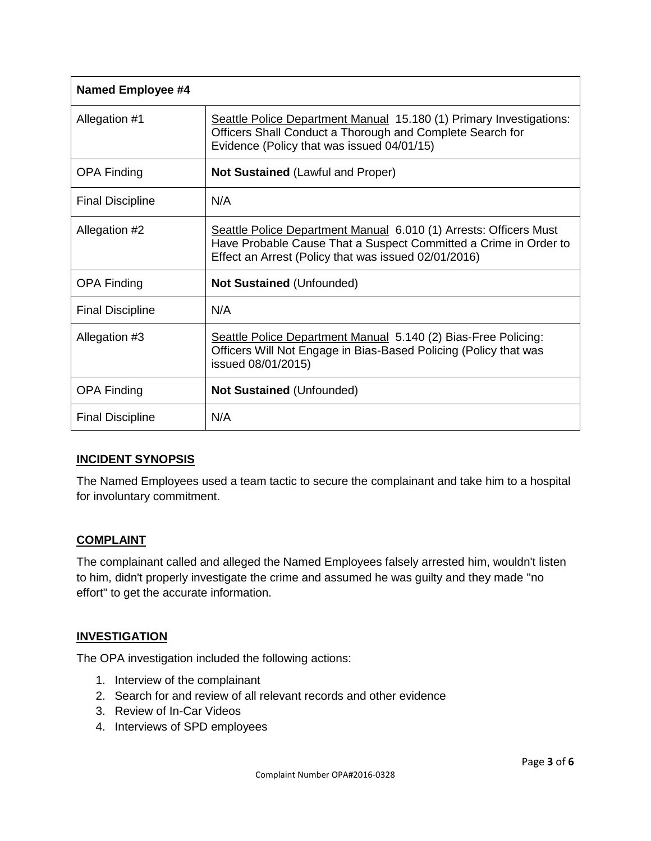| <b>Named Employee #4</b> |                                                                                                                                                                                               |
|--------------------------|-----------------------------------------------------------------------------------------------------------------------------------------------------------------------------------------------|
| Allegation #1            | Seattle Police Department Manual 15.180 (1) Primary Investigations:<br>Officers Shall Conduct a Thorough and Complete Search for<br>Evidence (Policy that was issued 04/01/15)                |
| <b>OPA Finding</b>       | <b>Not Sustained (Lawful and Proper)</b>                                                                                                                                                      |
| <b>Final Discipline</b>  | N/A                                                                                                                                                                                           |
| Allegation #2            | Seattle Police Department Manual 6.010 (1) Arrests: Officers Must<br>Have Probable Cause That a Suspect Committed a Crime in Order to<br>Effect an Arrest (Policy that was issued 02/01/2016) |
| <b>OPA Finding</b>       | <b>Not Sustained (Unfounded)</b>                                                                                                                                                              |
| <b>Final Discipline</b>  | N/A                                                                                                                                                                                           |
| Allegation #3            | Seattle Police Department Manual 5.140 (2) Bias-Free Policing:<br>Officers Will Not Engage in Bias-Based Policing (Policy that was<br>issued 08/01/2015)                                      |
| <b>OPA Finding</b>       | <b>Not Sustained (Unfounded)</b>                                                                                                                                                              |
| <b>Final Discipline</b>  | N/A                                                                                                                                                                                           |

#### **INCIDENT SYNOPSIS**

The Named Employees used a team tactic to secure the complainant and take him to a hospital for involuntary commitment.

#### **COMPLAINT**

The complainant called and alleged the Named Employees falsely arrested him, wouldn't listen to him, didn't properly investigate the crime and assumed he was guilty and they made "no effort" to get the accurate information.

#### **INVESTIGATION**

The OPA investigation included the following actions:

- 1. Interview of the complainant
- 2. Search for and review of all relevant records and other evidence
- 3. Review of In-Car Videos
- 4. Interviews of SPD employees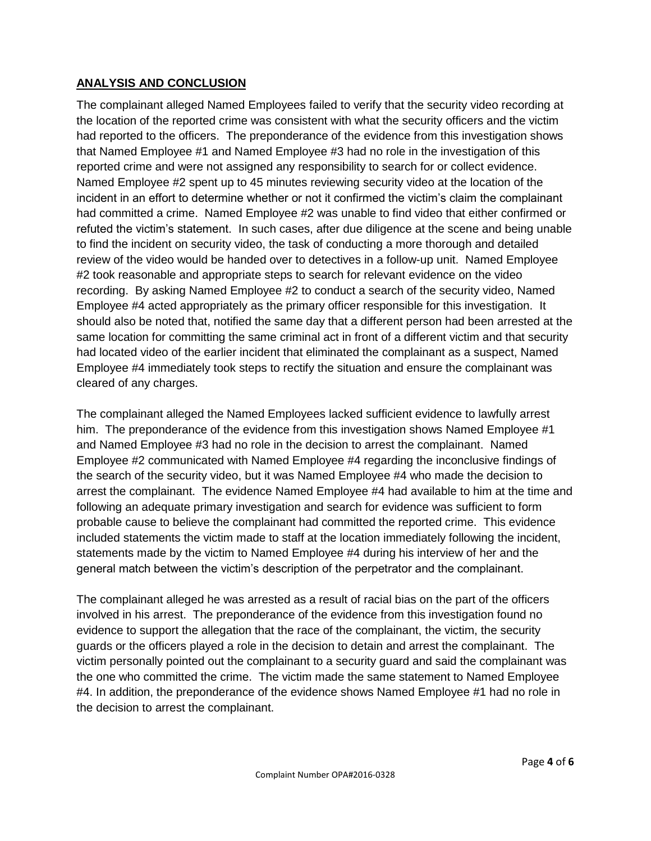#### **ANALYSIS AND CONCLUSION**

The complainant alleged Named Employees failed to verify that the security video recording at the location of the reported crime was consistent with what the security officers and the victim had reported to the officers. The preponderance of the evidence from this investigation shows that Named Employee #1 and Named Employee #3 had no role in the investigation of this reported crime and were not assigned any responsibility to search for or collect evidence. Named Employee #2 spent up to 45 minutes reviewing security video at the location of the incident in an effort to determine whether or not it confirmed the victim's claim the complainant had committed a crime. Named Employee #2 was unable to find video that either confirmed or refuted the victim's statement. In such cases, after due diligence at the scene and being unable to find the incident on security video, the task of conducting a more thorough and detailed review of the video would be handed over to detectives in a follow-up unit. Named Employee #2 took reasonable and appropriate steps to search for relevant evidence on the video recording. By asking Named Employee #2 to conduct a search of the security video, Named Employee #4 acted appropriately as the primary officer responsible for this investigation. It should also be noted that, notified the same day that a different person had been arrested at the same location for committing the same criminal act in front of a different victim and that security had located video of the earlier incident that eliminated the complainant as a suspect, Named Employee #4 immediately took steps to rectify the situation and ensure the complainant was cleared of any charges.

The complainant alleged the Named Employees lacked sufficient evidence to lawfully arrest him. The preponderance of the evidence from this investigation shows Named Employee #1 and Named Employee #3 had no role in the decision to arrest the complainant. Named Employee #2 communicated with Named Employee #4 regarding the inconclusive findings of the search of the security video, but it was Named Employee #4 who made the decision to arrest the complainant. The evidence Named Employee #4 had available to him at the time and following an adequate primary investigation and search for evidence was sufficient to form probable cause to believe the complainant had committed the reported crime. This evidence included statements the victim made to staff at the location immediately following the incident, statements made by the victim to Named Employee #4 during his interview of her and the general match between the victim's description of the perpetrator and the complainant.

The complainant alleged he was arrested as a result of racial bias on the part of the officers involved in his arrest. The preponderance of the evidence from this investigation found no evidence to support the allegation that the race of the complainant, the victim, the security guards or the officers played a role in the decision to detain and arrest the complainant. The victim personally pointed out the complainant to a security guard and said the complainant was the one who committed the crime. The victim made the same statement to Named Employee #4. In addition, the preponderance of the evidence shows Named Employee #1 had no role in the decision to arrest the complainant.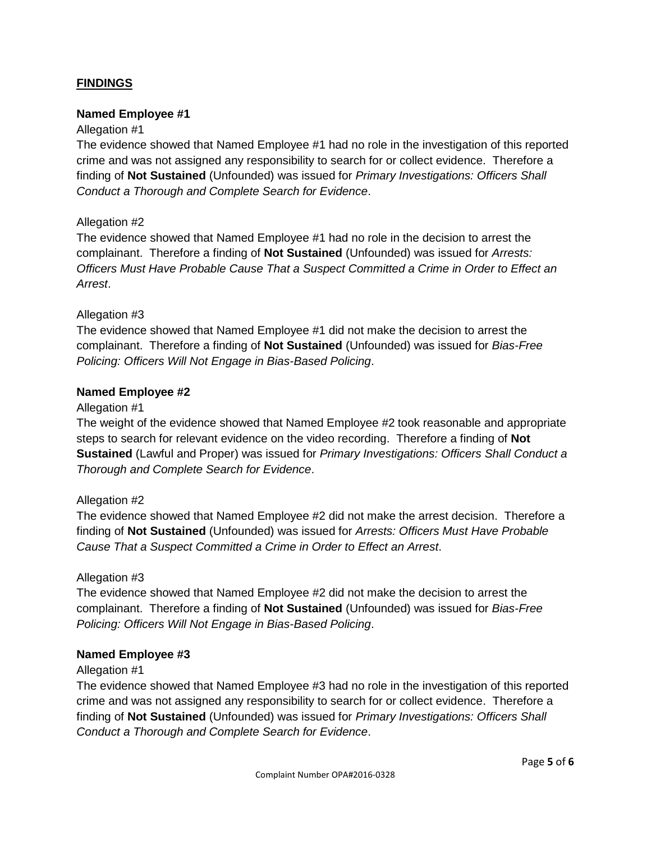#### **FINDINGS**

#### **Named Employee #1**

#### Allegation #1

The evidence showed that Named Employee #1 had no role in the investigation of this reported crime and was not assigned any responsibility to search for or collect evidence. Therefore a finding of **Not Sustained** (Unfounded) was issued for *Primary Investigations: Officers Shall Conduct a Thorough and Complete Search for Evidence*.

#### Allegation #2

The evidence showed that Named Employee #1 had no role in the decision to arrest the complainant. Therefore a finding of **Not Sustained** (Unfounded) was issued for *Arrests: Officers Must Have Probable Cause That a Suspect Committed a Crime in Order to Effect an Arrest*.

#### Allegation #3

The evidence showed that Named Employee #1 did not make the decision to arrest the complainant. Therefore a finding of **Not Sustained** (Unfounded) was issued for *Bias-Free Policing: Officers Will Not Engage in Bias-Based Policing*.

#### **Named Employee #2**

#### Allegation #1

The weight of the evidence showed that Named Employee #2 took reasonable and appropriate steps to search for relevant evidence on the video recording. Therefore a finding of **Not Sustained** (Lawful and Proper) was issued for *Primary Investigations: Officers Shall Conduct a Thorough and Complete Search for Evidence*.

#### Allegation #2

The evidence showed that Named Employee #2 did not make the arrest decision. Therefore a finding of **Not Sustained** (Unfounded) was issued for *Arrests: Officers Must Have Probable Cause That a Suspect Committed a Crime in Order to Effect an Arrest*.

#### Allegation #3

The evidence showed that Named Employee #2 did not make the decision to arrest the complainant. Therefore a finding of **Not Sustained** (Unfounded) was issued for *Bias-Free Policing: Officers Will Not Engage in Bias-Based Policing*.

#### **Named Employee #3**

#### Allegation #1

The evidence showed that Named Employee #3 had no role in the investigation of this reported crime and was not assigned any responsibility to search for or collect evidence. Therefore a finding of **Not Sustained** (Unfounded) was issued for *Primary Investigations: Officers Shall Conduct a Thorough and Complete Search for Evidence*.